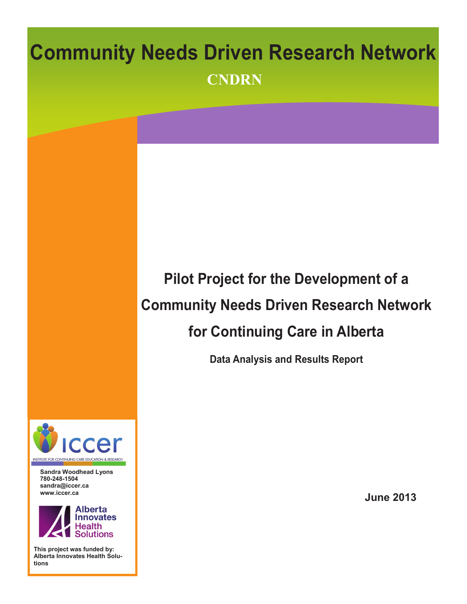# **Community Needs Driven Research Network CNDRN Pilot Project for the Development of a Community Needs Driven Research Network for Continuing Care in Alberta Data Analysis and Results Report**

**Sandra Woodhead Lyons 780-248-1504 sandra@iccer.ca www.iccer.ca** 

**ITUTE FOR CONTINUING CARE EDUCATION & RESEARCH** 



**This project was funded by: Alberta Innovates Health Solutions**

**June 2013**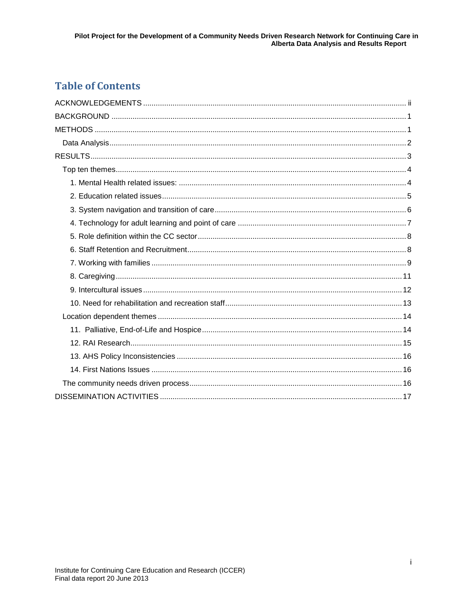# **Table of Contents**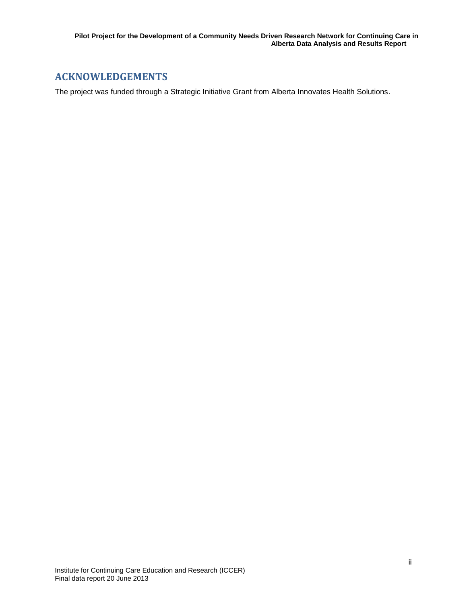# <span id="page-3-0"></span>**ACKNOWLEDGEMENTS**

The project was funded through a Strategic Initiative Grant from Alberta Innovates Health Solutions.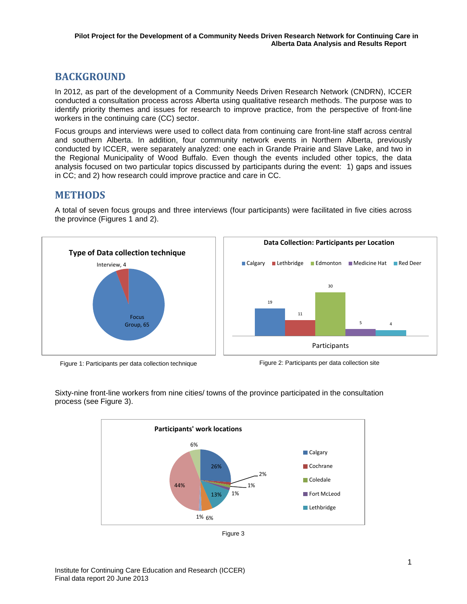# <span id="page-4-0"></span>**BACKGROUND**

In 2012, as part of the development of a Community Needs Driven Research Network (CNDRN), ICCER conducted a consultation process across Alberta using qualitative research methods. The purpose was to identify priority themes and issues for research to improve practice, from the perspective of front-line workers in the continuing care (CC) sector.

Focus groups and interviews were used to collect data from continuing care front-line staff across central and southern Alberta. In addition, four community network events in Northern Alberta, previously conducted by ICCER, were separately analyzed: one each in Grande Prairie and Slave Lake, and two in the Regional Municipality of Wood Buffalo. Even though the events included other topics, the data analysis focused on two particular topics discussed by participants during the event: 1) gaps and issues in CC; and 2) how research could improve practice and care in CC.

## <span id="page-4-1"></span>**METHODS**

A total of seven focus groups and three interviews (four participants) were facilitated in five cities across the province (Figures 1 and 2).



Figure 1: Participants per data collection technique Figure 2: Participants per data collection site



Participants

30

5 4



Sixty-nine front-line workers from nine cities/ towns of the province participated in the consultation process (see Figure 3).

Figure 3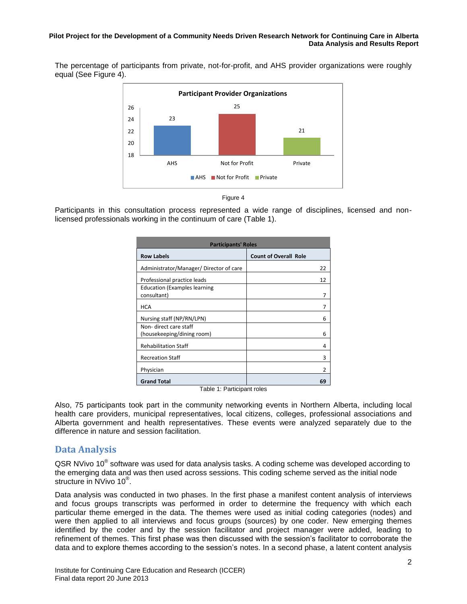The percentage of participants from private, not-for-profit, and AHS provider organizations were roughly equal (See Figure 4).





Participants in this consultation process represented a wide range of disciplines, licensed and nonlicensed professionals working in the continuum of care (Table 1).

| <b>Participants' Roles</b>                           |                              |  |  |
|------------------------------------------------------|------------------------------|--|--|
| <b>Row Labels</b>                                    | <b>Count of Overall Role</b> |  |  |
| Administrator/Manager/Director of care               | 22                           |  |  |
| Professional practice leads                          | 12                           |  |  |
| <b>Education (Examples learning</b><br>consultant)   | 7                            |  |  |
| HCA                                                  | 7                            |  |  |
| Nursing staff (NP/RN/LPN)                            | 6                            |  |  |
| Non- direct care staff<br>(housekeeping/dining room) | 6                            |  |  |
| <b>Rehabilitation Staff</b>                          | 4                            |  |  |
| <b>Recreation Staff</b>                              | 3                            |  |  |
| Physician                                            | $\overline{2}$               |  |  |
| <b>Grand Total</b><br>Table 4: Daubahaast salaa      | 69                           |  |  |

Table 1: Participant roles

Also, 75 participants took part in the community networking events in Northern Alberta, including local health care providers, municipal representatives, local citizens, colleges, professional associations and Alberta government and health representatives. These events were analyzed separately due to the difference in nature and session facilitation.

## <span id="page-5-0"></span>**Data Analysis**

QSR NVivo 10<sup>®</sup> software was used for data analysis tasks. A coding scheme was developed according to the emerging data and was then used across sessions. This coding scheme served as the initial node structure in NVivo 10<sup>®</sup>.

Data analysis was conducted in two phases. In the first phase a manifest content analysis of interviews and focus groups transcripts was performed in order to determine the frequency with which each particular theme emerged in the data. The themes were used as initial coding categories (nodes) and were then applied to all interviews and focus groups (sources) by one coder. New emerging themes identified by the coder and by the session facilitator and project manager were added, leading to refinement of themes. This first phase was then discussed with the session's facilitator to corroborate the data and to explore themes according to the session's notes. In a second phase, a latent content analysis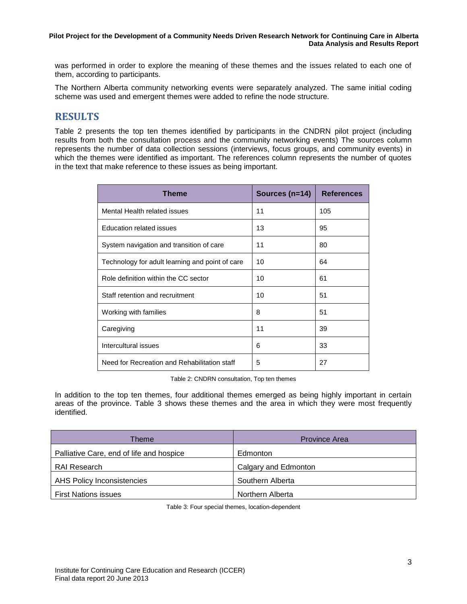was performed in order to explore the meaning of these themes and the issues related to each one of them, according to participants.

The Northern Alberta community networking events were separately analyzed. The same initial coding scheme was used and emergent themes were added to refine the node structure.

# <span id="page-6-0"></span>**RESULTS**

Table 2 presents the top ten themes identified by participants in the CNDRN pilot project (including results from both the consultation process and the community networking events) The sources column represents the number of data collection sessions (interviews, focus groups, and community events) in which the themes were identified as important. The references column represents the number of quotes in the text that make reference to these issues as being important.

| Theme                                           | Sources $(n=14)$ | <b>References</b> |
|-------------------------------------------------|------------------|-------------------|
| Mental Health related issues                    | 11               | 105               |
| Education related issues                        | 13               | 95                |
| System navigation and transition of care        | 11               | 80                |
| Technology for adult learning and point of care | 10               | 64                |
| Role definition within the CC sector            | 10               | 61                |
| Staff retention and recruitment                 | 10               | 51                |
| Working with families                           | 8                | 51                |
| Caregiving                                      | 11               | 39                |
| Intercultural issues                            | 6                | 33                |
| Need for Recreation and Rehabilitation staff    | 5                | 27                |

Table 2: CNDRN consultation, Top ten themes

In addition to the top ten themes, four additional themes emerged as being highly important in certain areas of the province. Table 3 shows these themes and the area in which they were most frequently identified.

| <b>Theme</b>                             | <b>Province Area</b> |
|------------------------------------------|----------------------|
| Palliative Care, end of life and hospice | Edmonton             |
| <b>RAI Research</b>                      | Calgary and Edmonton |
| AHS Policy Inconsistencies               | Southern Alberta     |
| <b>First Nations issues</b>              | Northern Alberta     |

Table 3: Four special themes, location-dependent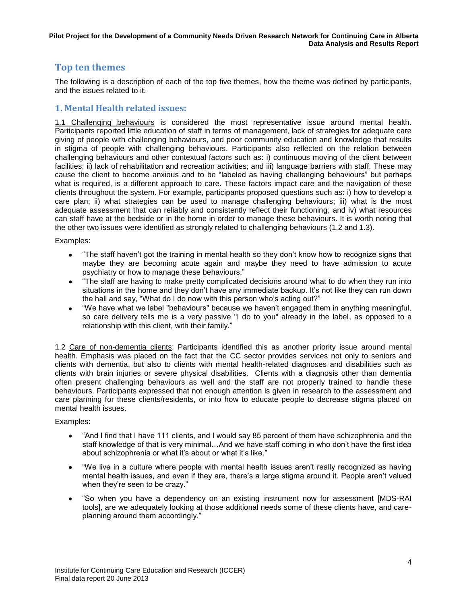## <span id="page-7-0"></span>**Top ten themes**

The following is a description of each of the top five themes, how the theme was defined by participants, and the issues related to it.

## <span id="page-7-1"></span>**1. Mental Health related issues:**

1.1 Challenging behaviours is considered the most representative issue around mental health. Participants reported little education of staff in terms of management, lack of strategies for adequate care giving of people with challenging behaviours, and poor community education and knowledge that results in stigma of people with challenging behaviours. Participants also reflected on the relation between challenging behaviours and other contextual factors such as: i) continuous moving of the client between facilities; ii) lack of rehabilitation and recreation activities; and iii) language barriers with staff. These may cause the client to become anxious and to be "labeled as having challenging behaviours" but perhaps what is required, is a different approach to care. These factors impact care and the navigation of these clients throughout the system. For example, participants proposed questions such as: i) how to develop a care plan; ii) what strategies can be used to manage challenging behaviours; iii) what is the most adequate assessment that can reliably and consistently reflect their functioning; and iv) what resources can staff have at the bedside or in the home in order to manage these behaviours. It is worth noting that the other two issues were identified as strongly related to challenging behaviours (1.2 and 1.3).

#### Examples:

- $\bullet$ "The staff haven't got the training in mental health so they don't know how to recognize signs that maybe they are becoming acute again and maybe they need to have admission to acute psychiatry or how to manage these behaviours."
- "The staff are having to make pretty complicated decisions around what to do when they run into situations in the home and they don't have any immediate backup. It's not like they can run down the hall and say, "What do I do now with this person who's acting out?"
- "We have what we label "behaviours" because we haven't engaged them in anything meaningful, so care delivery tells me is a very passive "I do to you" already in the label, as opposed to a relationship with this client, with their family."

1.2 Care of non-dementia clients: Participants identified this as another priority issue around mental health. Emphasis was placed on the fact that the CC sector provides services not only to seniors and clients with dementia, but also to clients with mental health-related diagnoses and disabilities such as clients with brain injuries or severe physical disabilities. Clients with a diagnosis other than dementia often present challenging behaviours as well and the staff are not properly trained to handle these behaviours. Participants expressed that not enough attention is given in research to the assessment and care planning for these clients/residents, or into how to educate people to decrease stigma placed on mental health issues.

- "And I find that I have 111 clients, and I would say 85 percent of them have schizophrenia and the  $\bullet$ staff knowledge of that is very minimal…And we have staff coming in who don't have the first idea about schizophrenia or what it's about or what it's like."
- "We live in a culture where people with mental health issues aren't really recognized as having  $\bullet$ mental health issues, and even if they are, there's a large stigma around it. People aren't valued when they're seen to be crazy."
- "So when you have a dependency on an existing instrument now for assessment [MDS-RAI tools], are we adequately looking at those additional needs some of these clients have, and careplanning around them accordingly."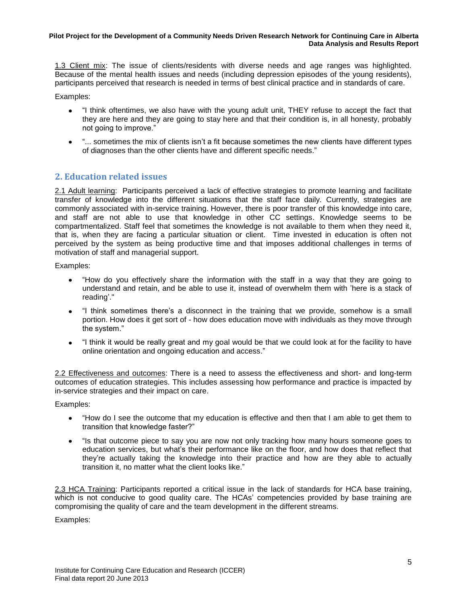1.3 Client mix: The issue of clients/residents with diverse needs and age ranges was highlighted. Because of the mental health issues and needs (including depression episodes of the young residents), participants perceived that research is needed in terms of best clinical practice and in standards of care.

Examples:

- "I think oftentimes, we also have with the young adult unit, THEY refuse to accept the fact that they are here and they are going to stay here and that their condition is, in all honesty, probably not going to improve."
- "... sometimes the mix of clients isn't a fit because sometimes the new clients have different types  $\bullet$ of diagnoses than the other clients have and different specific needs."

## <span id="page-8-0"></span>**2. Education related issues**

2.1 Adult learning: Participants perceived a lack of effective strategies to promote learning and facilitate transfer of knowledge into the different situations that the staff face daily. Currently, strategies are commonly associated with in-service training. However, there is poor transfer of this knowledge into care, and staff are not able to use that knowledge in other CC settings. Knowledge seems to be compartmentalized. Staff feel that sometimes the knowledge is not available to them when they need it, that is, when they are facing a particular situation or client. Time invested in education is often not perceived by the system as being productive time and that imposes additional challenges in terms of motivation of staff and managerial support.

Examples:

- "How do you effectively share the information with the staff in a way that they are going to understand and retain, and be able to use it, instead of overwhelm them with 'here is a stack of reading'."
- "I think sometimes there's a disconnect in the training that we provide, somehow is a small portion. How does it get sort of - how does education move with individuals as they move through the system."
- "I think it would be really great and my goal would be that we could look at for the facility to have  $\bullet$ online orientation and ongoing education and access."

2.2 Effectiveness and outcomes: There is a need to assess the effectiveness and short- and long-term outcomes of education strategies. This includes assessing how performance and practice is impacted by in-service strategies and their impact on care.

Examples:

- "How do I see the outcome that my education is effective and then that I am able to get them to  $\bullet$ transition that knowledge faster?"
- "Is that outcome piece to say you are now not only tracking how many hours someone goes to education services, but what's their performance like on the floor, and how does that reflect that they're actually taking the knowledge into their practice and how are they able to actually transition it, no matter what the client looks like."

2.3 HCA Training: Participants reported a critical issue in the lack of standards for HCA base training, which is not conducive to good quality care. The HCAs' competencies provided by base training are compromising the quality of care and the team development in the different streams.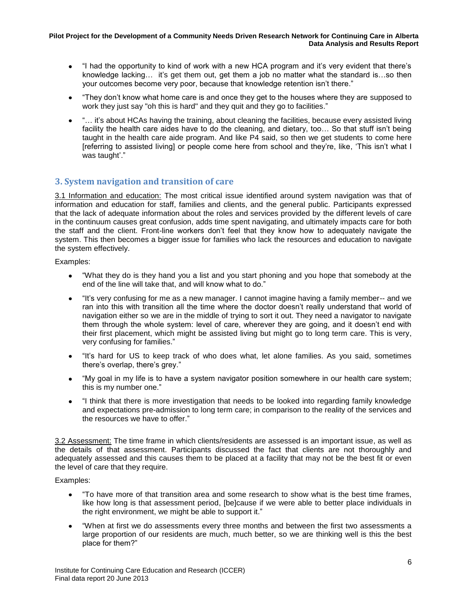- "I had the opportunity to kind of work with a new HCA program and it's very evident that there's knowledge lacking… it's get them out, get them a job no matter what the standard is…so then your outcomes become very poor, because that knowledge retention isn't there."
- "They don't know what home care is and once they get to the houses where they are supposed to  $\bullet$ work they just say "oh this is hard" and they quit and they go to facilities."
- "… it's about HCAs having the training, about cleaning the facilities, because every assisted living facility the health care aides have to do the cleaning, and dietary, too… So that stuff isn't being taught in the health care aide program. And like P4 said, so then we get students to come here [referring to assisted living] or people come here from school and they're, like, 'This isn't what I was taught'."

## <span id="page-9-0"></span>**3. System navigation and transition of care**

3.1 Information and education: The most critical issue identified around system navigation was that of information and education for staff, families and clients, and the general public. Participants expressed that the lack of adequate information about the roles and services provided by the different levels of care in the continuum causes great confusion, adds time spent navigating, and ultimately impacts care for both the staff and the client. Front-line workers don't feel that they know how to adequately navigate the system. This then becomes a bigger issue for families who lack the resources and education to navigate the system effectively.

Examples:

- "What they do is they hand you a list and you start phoning and you hope that somebody at the end of the line will take that, and will know what to do."
- "It's very confusing for me as a new manager. I cannot imagine having a family member-- and we ran into this with transition all the time where the doctor doesn't really understand that world of navigation either so we are in the middle of trying to sort it out. They need a navigator to navigate them through the whole system: level of care, wherever they are going, and it doesn't end with their first placement, which might be assisted living but might go to long term care. This is very, very confusing for families."
- "It's hard for US to keep track of who does what, let alone families. As you said, sometimes  $\bullet$ there's overlap, there's grey."
- "My goal in my life is to have a system navigator position somewhere in our health care system; this is my number one."
- "I think that there is more investigation that needs to be looked into regarding family knowledge and expectations pre-admission to long term care; in comparison to the reality of the services and the resources we have to offer."

3.2 Assessment: The time frame in which clients/residents are assessed is an important issue, as well as the details of that assessment. Participants discussed the fact that clients are not thoroughly and adequately assessed and this causes them to be placed at a facility that may not be the best fit or even the level of care that they require.

- "To have more of that transition area and some research to show what is the best time frames,  $\bullet$ like how long is that assessment period, [be]cause if we were able to better place individuals in the right environment, we might be able to support it."
- "When at first we do assessments every three months and between the first two assessments a large proportion of our residents are much, much better, so we are thinking well is this the best place for them?"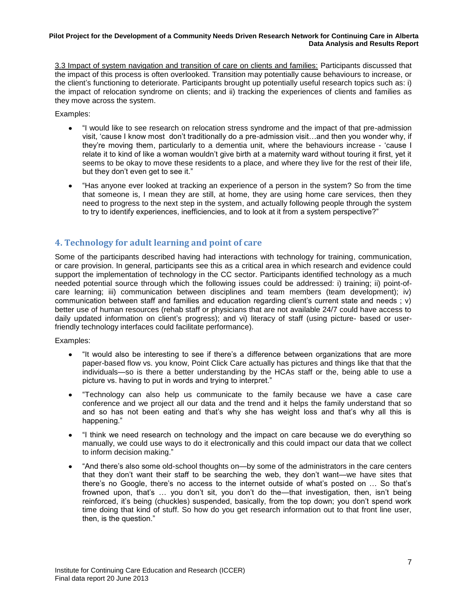3.3 Impact of system navigation and transition of care on clients and families: Participants discussed that the impact of this process is often overlooked. Transition may potentially cause behaviours to increase, or the client's functioning to deteriorate. Participants brought up potentially useful research topics such as: i) the impact of relocation syndrome on clients; and ii) tracking the experiences of clients and families as they move across the system.

Examples:

- "I would like to see research on relocation stress syndrome and the impact of that pre-admission  $\bullet$ visit, 'cause I know most don't traditionally do a pre-admission visit…and then you wonder why, if they're moving them, particularly to a dementia unit, where the behaviours increase - 'cause I relate it to kind of like a woman wouldn't give birth at a maternity ward without touring it first, yet it seems to be okay to move these residents to a place, and where they live for the rest of their life, but they don't even get to see it."
- "Has anyone ever looked at tracking an experience of a person in the system? So from the time that someone is, I mean they are still, at home, they are using home care services, then they need to progress to the next step in the system, and actually following people through the system to try to identify experiences, inefficiencies, and to look at it from a system perspective?"

## <span id="page-10-0"></span>**4. Technology for adult learning and point of care**

Some of the participants described having had interactions with technology for training, communication, or care provision. In general, participants see this as a critical area in which research and evidence could support the implementation of technology in the CC sector. Participants identified technology as a much needed potential source through which the following issues could be addressed: i) training; ii) point-ofcare learning; iii) communication between disciplines and team members (team development); iv) communication between staff and families and education regarding client's current state and needs ; v) better use of human resources (rehab staff or physicians that are not available 24/7 could have access to daily updated information on client's progress); and vi) literacy of staff (using picture- based or userfriendly technology interfaces could facilitate performance).

- $\bullet$ "It would also be interesting to see if there's a difference between organizations that are more paper-based flow vs. you know, Point Click Care actually has pictures and things like that that the individuals—so is there a better understanding by the HCAs staff or the, being able to use a picture vs. having to put in words and trying to interpret."
- "Technology can also help us communicate to the family because we have a case care conference and we project all our data and the trend and it helps the family understand that so and so has not been eating and that's why she has weight loss and that's why all this is happening."
- "I think we need research on technology and the impact on care because we do everything so manually, we could use ways to do it electronically and this could impact our data that we collect to inform decision making."
- "And there's also some old-school thoughts on—by some of the administrators in the care centers that they don't want their staff to be searching the web, they don't want—we have sites that there's no Google, there's no access to the internet outside of what's posted on … So that's frowned upon, that's … you don't sit, you don't do the—that investigation, then, isn't being reinforced, it's being (chuckles) suspended, basically, from the top down; you don't spend work time doing that kind of stuff. So how do you get research information out to that front line user, then, is the question."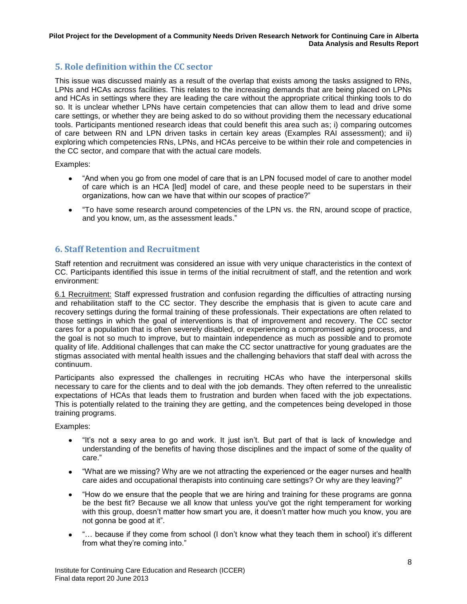## <span id="page-11-0"></span>**5. Role definition within the CC sector**

This issue was discussed mainly as a result of the overlap that exists among the tasks assigned to RNs, LPNs and HCAs across facilities. This relates to the increasing demands that are being placed on LPNs and HCAs in settings where they are leading the care without the appropriate critical thinking tools to do so. It is unclear whether LPNs have certain competencies that can allow them to lead and drive some care settings, or whether they are being asked to do so without providing them the necessary educational tools. Participants mentioned research ideas that could benefit this area such as; i) comparing outcomes of care between RN and LPN driven tasks in certain key areas (Examples RAI assessment); and ii) exploring which competencies RNs, LPNs, and HCAs perceive to be within their role and competencies in the CC sector, and compare that with the actual care models.

Examples:

- "And when you go from one model of care that is an LPN focused model of care to another model of care which is an HCA [led] model of care, and these people need to be superstars in their organizations, how can we have that within our scopes of practice?"
- "To have some research around competencies of the LPN vs. the RN, around scope of practice, and you know, um, as the assessment leads."

## <span id="page-11-1"></span>**6. Staff Retention and Recruitment**

Staff retention and recruitment was considered an issue with very unique characteristics in the context of CC. Participants identified this issue in terms of the initial recruitment of staff, and the retention and work environment:

6.1 Recruitment: Staff expressed frustration and confusion regarding the difficulties of attracting nursing and rehabilitation staff to the CC sector. They describe the emphasis that is given to acute care and recovery settings during the formal training of these professionals. Their expectations are often related to those settings in which the goal of interventions is that of improvement and recovery. The CC sector cares for a population that is often severely disabled, or experiencing a compromised aging process, and the goal is not so much to improve, but to maintain independence as much as possible and to promote quality of life. Additional challenges that can make the CC sector unattractive for young graduates are the stigmas associated with mental health issues and the challenging behaviors that staff deal with across the continuum.

Participants also expressed the challenges in recruiting HCAs who have the interpersonal skills necessary to care for the clients and to deal with the job demands. They often referred to the unrealistic expectations of HCAs that leads them to frustration and burden when faced with the job expectations. This is potentially related to the training they are getting, and the competences being developed in those training programs.

- "It's not a sexy area to go and work. It just isn't. But part of that is lack of knowledge and understanding of the benefits of having those disciplines and the impact of some of the quality of care."
- "What are we missing? Why are we not attracting the experienced or the eager nurses and health care aides and occupational therapists into continuing care settings? Or why are they leaving?"
- "How do we ensure that the people that we are hiring and training for these programs are gonna  $\bullet$ be the best fit? Because we all know that unless you've got the right temperament for working with this group, doesn't matter how smart you are, it doesn't matter how much you know, you are not gonna be good at it".
- "… because if they come from school (I don't know what they teach them in school) it's different  $\bullet$ from what they're coming into."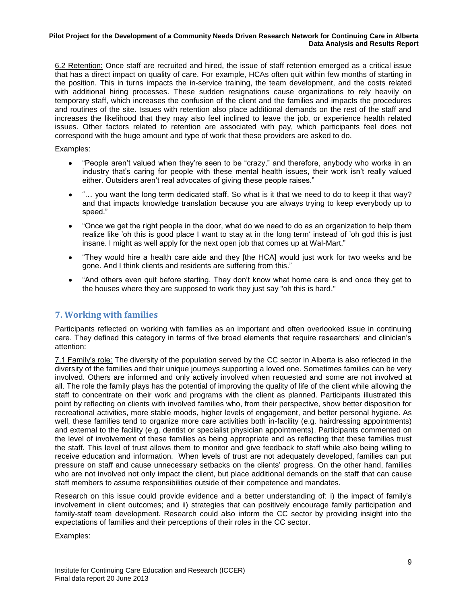6.2 Retention: Once staff are recruited and hired, the issue of staff retention emerged as a critical issue that has a direct impact on quality of care. For example, HCAs often quit within few months of starting in the position. This in turns impacts the in-service training, the team development, and the costs related with additional hiring processes. These sudden resignations cause organizations to rely heavily on temporary staff, which increases the confusion of the client and the families and impacts the procedures and routines of the site. Issues with retention also place additional demands on the rest of the staff and increases the likelihood that they may also feel inclined to leave the job, or experience health related issues. Other factors related to retention are associated with pay, which participants feel does not correspond with the huge amount and type of work that these providers are asked to do.

Examples:

- "People aren't valued when they're seen to be "crazy," and therefore, anybody who works in an industry that's caring for people with these mental health issues, their work isn't really valued either. Outsiders aren't real advocates of giving these people raises."
- "… you want the long term dedicated staff. So what is it that we need to do to keep it that way? and that impacts knowledge translation because you are always trying to keep everybody up to speed."
- "Once we get the right people in the door, what do we need to do as an organization to help them realize like 'oh this is good place I want to stay at in the long term' instead of 'oh god this is just insane. I might as well apply for the next open job that comes up at Wal-Mart."
- "They would hire a health care aide and they [the HCA] would just work for two weeks and be  $\bullet$ gone. And I think clients and residents are suffering from this."
- "And others even quit before starting. They don't know what home care is and once they get to the houses where they are supposed to work they just say "oh this is hard."

## <span id="page-12-0"></span>**7. Working with families**

Participants reflected on working with families as an important and often overlooked issue in continuing care. They defined this category in terms of five broad elements that require researchers' and clinician's attention:

7.1 Family's role: The diversity of the population served by the CC sector in Alberta is also reflected in the diversity of the families and their unique journeys supporting a loved one. Sometimes families can be very involved. Others are informed and only actively involved when requested and some are not involved at all. The role the family plays has the potential of improving the quality of life of the client while allowing the staff to concentrate on their work and programs with the client as planned. Participants illustrated this point by reflecting on clients with involved families who, from their perspective, show better disposition for recreational activities, more stable moods, higher levels of engagement, and better personal hygiene. As well, these families tend to organize more care activities both in-facility (e.g. hairdressing appointments) and external to the facility (e.g. dentist or specialist physician appointments). Participants commented on the level of involvement of these families as being appropriate and as reflecting that these families trust the staff. This level of trust allows them to monitor and give feedback to staff while also being willing to receive education and information. When levels of trust are not adequately developed, families can put pressure on staff and cause unnecessary setbacks on the clients' progress. On the other hand, families who are not involved not only impact the client, but place additional demands on the staff that can cause staff members to assume responsibilities outside of their competence and mandates.

Research on this issue could provide evidence and a better understanding of: i) the impact of family's involvement in client outcomes; and ii) strategies that can positively encourage family participation and family-staff team development. Research could also inform the CC sector by providing insight into the expectations of families and their perceptions of their roles in the CC sector.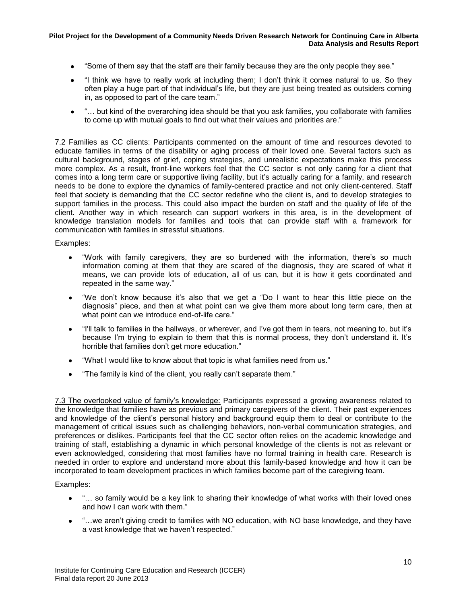- "Some of them say that the staff are their family because they are the only people they see."
- "I think we have to really work at including them; I don't think it comes natural to us. So they  $\bullet$ often play a huge part of that individual's life, but they are just being treated as outsiders coming in, as opposed to part of the care team."
- $\bullet$ "… but kind of the overarching idea should be that you ask families, you collaborate with families to come up with mutual goals to find out what their values and priorities are."

7.2 Families as CC clients: Participants commented on the amount of time and resources devoted to educate families in terms of the disability or aging process of their loved one. Several factors such as cultural background, stages of grief, coping strategies, and unrealistic expectations make this process more complex. As a result, front-line workers feel that the CC sector is not only caring for a client that comes into a long term care or supportive living facility, but it's actually caring for a family, and research needs to be done to explore the dynamics of family-centered practice and not only client-centered. Staff feel that society is demanding that the CC sector redefine who the client is, and to develop strategies to support families in the process. This could also impact the burden on staff and the quality of life of the client. Another way in which research can support workers in this area, is in the development of knowledge translation models for families and tools that can provide staff with a framework for communication with families in stressful situations.

Examples:

- "Work with family caregivers, they are so burdened with the information, there's so much  $\bullet$ information coming at them that they are scared of the diagnosis, they are scared of what it means, we can provide lots of education, all of us can, but it is how it gets coordinated and repeated in the same way."
- "We don't know because it's also that we get a "Do I want to hear this little piece on the diagnosis" piece, and then at what point can we give them more about long term care, then at what point can we introduce end-of-life care."
- "I'll talk to families in the hallways, or wherever, and I've got them in tears, not meaning to, but it's because I'm trying to explain to them that this is normal process, they don't understand it. It's horrible that families don't get more education."
- "What I would like to know about that topic is what families need from us."
- "The family is kind of the client, you really can't separate them."

7.3 The overlooked value of family's knowledge: Participants expressed a growing awareness related to the knowledge that families have as previous and primary caregivers of the client. Their past experiences and knowledge of the client's personal history and background equip them to deal or contribute to the management of critical issues such as challenging behaviors, non-verbal communication strategies, and preferences or dislikes. Participants feel that the CC sector often relies on the academic knowledge and training of staff, establishing a dynamic in which personal knowledge of the clients is not as relevant or even acknowledged, considering that most families have no formal training in health care. Research is needed in order to explore and understand more about this family-based knowledge and how it can be incorporated to team development practices in which families become part of the caregiving team.

- "... so family would be a key link to sharing their knowledge of what works with their loved ones and how I can work with them."
- "…we aren't giving credit to families with NO education, with NO base knowledge, and they have  $\bullet$ a vast knowledge that we haven't respected."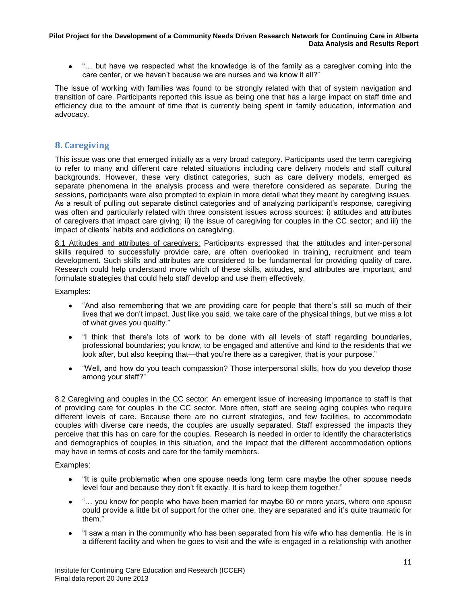• "... but have we respected what the knowledge is of the family as a caregiver coming into the care center, or we haven't because we are nurses and we know it all?"

The issue of working with families was found to be strongly related with that of system navigation and transition of care. Participants reported this issue as being one that has a large impact on staff time and efficiency due to the amount of time that is currently being spent in family education, information and advocacy.

## <span id="page-14-0"></span>**8. Caregiving**

This issue was one that emerged initially as a very broad category. Participants used the term caregiving to refer to many and different care related situations including care delivery models and staff cultural backgrounds. However, these very distinct categories, such as care delivery models, emerged as separate phenomena in the analysis process and were therefore considered as separate. During the sessions, participants were also prompted to explain in more detail what they meant by caregiving issues. As a result of pulling out separate distinct categories and of analyzing participant's response, caregiving was often and particularly related with three consistent issues across sources: i) attitudes and attributes of caregivers that impact care giving; ii) the issue of caregiving for couples in the CC sector; and iii) the impact of clients' habits and addictions on caregiving.

8.1 Attitudes and attributes of caregivers: Participants expressed that the attitudes and inter-personal skills required to successfully provide care, are often overlooked in training, recruitment and team development. Such skills and attributes are considered to be fundamental for providing quality of care. Research could help understand more which of these skills, attitudes, and attributes are important, and formulate strategies that could help staff develop and use them effectively.

Examples:

- "And also remembering that we are providing care for people that there's still so much of their  $\bullet$ lives that we don't impact. Just like you said, we take care of the physical things, but we miss a lot of what gives you quality."
- "I think that there's lots of work to be done with all levels of staff regarding boundaries,  $\bullet$ professional boundaries; you know, to be engaged and attentive and kind to the residents that we look after, but also keeping that—that you're there as a caregiver, that is your purpose."
- "Well, and how do you teach compassion? Those interpersonal skills, how do you develop those  $\bullet$ among your staff?"

8.2 Caregiving and couples in the CC sector: An emergent issue of increasing importance to staff is that of providing care for couples in the CC sector. More often, staff are seeing aging couples who require different levels of care. Because there are no current strategies, and few facilities, to accommodate couples with diverse care needs, the couples are usually separated. Staff expressed the impacts they perceive that this has on care for the couples. Research is needed in order to identify the characteristics and demographics of couples in this situation, and the impact that the different accommodation options may have in terms of costs and care for the family members.

- "It is quite problematic when one spouse needs long term care maybe the other spouse needs  $\bullet$ level four and because they don't fit exactly. It is hard to keep them together."
- "… you know for people who have been married for maybe 60 or more years, where one spouse could provide a little bit of support for the other one, they are separated and it's quite traumatic for them."
- "I saw a man in the community who has been separated from his wife who has dementia. He is in a different facility and when he goes to visit and the wife is engaged in a relationship with another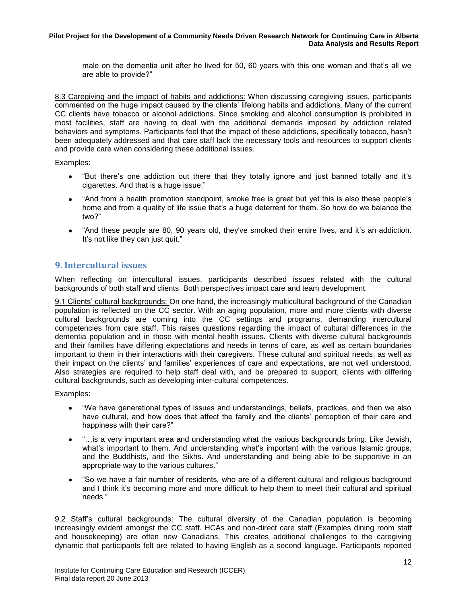male on the dementia unit after he lived for 50, 60 years with this one woman and that's all we are able to provide?"

8.3 Caregiving and the impact of habits and addictions: When discussing caregiving issues, participants commented on the huge impact caused by the clients' lifelong habits and addictions. Many of the current CC clients have tobacco or alcohol addictions. Since smoking and alcohol consumption is prohibited in most facilities, staff are having to deal with the additional demands imposed by addiction related behaviors and symptoms. Participants feel that the impact of these addictions, specifically tobacco, hasn't been adequately addressed and that care staff lack the necessary tools and resources to support clients and provide care when considering these additional issues.

Examples:

- $\bullet$ "But there's one addiction out there that they totally ignore and just banned totally and it's cigarettes. And that is a huge issue."
- "And from a health promotion standpoint, smoke free is great but yet this is also these people's home and from a quality of life issue that's a huge deterrent for them. So how do we balance the two?"
- "And these people are 80, 90 years old, they've smoked their entire lives, and it's an addiction. It's not like they can just quit."

## <span id="page-15-0"></span>**9. Intercultural issues**

When reflecting on intercultural issues, participants described issues related with the cultural backgrounds of both staff and clients. Both perspectives impact care and team development.

9.1 Clients' cultural backgrounds: On one hand, the increasingly multicultural background of the Canadian population is reflected on the CC sector. With an aging population, more and more clients with diverse cultural backgrounds are coming into the CC settings and programs, demanding intercultural competencies from care staff. This raises questions regarding the impact of cultural differences in the dementia population and in those with mental health issues. Clients with diverse cultural backgrounds and their families have differing expectations and needs in terms of care, as well as certain boundaries important to them in their interactions with their caregivers. These cultural and spiritual needs, as well as their impact on the clients' and families' experiences of care and expectations, are not well understood. Also strategies are required to help staff deal with, and be prepared to support, clients with differing cultural backgrounds, such as developing inter-cultural competences.

Examples:

- "We have generational types of issues and understandings, beliefs, practices, and then we also have cultural, and how does that affect the family and the clients' perception of their care and happiness with their care?"
- $\bullet$ "…is a very important area and understanding what the various backgrounds bring. Like Jewish, what's important to them. And understanding what's important with the various Islamic groups, and the Buddhists, and the Sikhs. And understanding and being able to be supportive in an appropriate way to the various cultures."
- "So we have a fair number of residents, who are of a different cultural and religious background and I think it's becoming more and more difficult to help them to meet their cultural and spiritual needs."

9.2 Staff's cultural backgrounds: The cultural diversity of the Canadian population is becoming increasingly evident amongst the CC staff. HCAs and non-direct care staff (Examples dining room staff and housekeeping) are often new Canadians. This creates additional challenges to the caregiving dynamic that participants felt are related to having English as a second language. Participants reported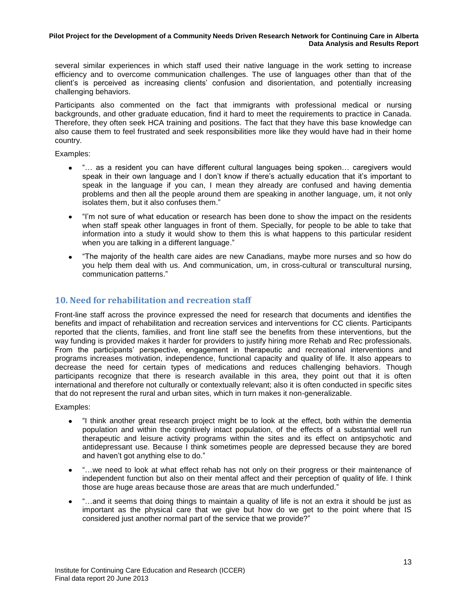several similar experiences in which staff used their native language in the work setting to increase efficiency and to overcome communication challenges. The use of languages other than that of the client's is perceived as increasing clients' confusion and disorientation, and potentially increasing challenging behaviors.

Participants also commented on the fact that immigrants with professional medical or nursing backgrounds, and other graduate education, find it hard to meet the requirements to practice in Canada. Therefore, they often seek HCA training and positions. The fact that they have this base knowledge can also cause them to feel frustrated and seek responsibilities more like they would have had in their home country.

Examples:

- "… as a resident you can have different cultural languages being spoken… caregivers would speak in their own language and I don't know if there's actually education that it's important to speak in the language if you can, I mean they already are confused and having dementia problems and then all the people around them are speaking in another language, um, it not only isolates them, but it also confuses them."
- "I'm not sure of what education or research has been done to show the impact on the residents  $\bullet$ when staff speak other languages in front of them. Specially, for people to be able to take that information into a study it would show to them this is what happens to this particular resident when you are talking in a different language."
- "The majority of the health care aides are new Canadians, maybe more nurses and so how do you help them deal with us. And communication, um, in cross-cultural or transcultural nursing, communication patterns."

## <span id="page-16-0"></span>**10. Need for rehabilitation and recreation staff**

Front-line staff across the province expressed the need for research that documents and identifies the benefits and impact of rehabilitation and recreation services and interventions for CC clients. Participants reported that the clients, families, and front line staff see the benefits from these interventions, but the way funding is provided makes it harder for providers to justify hiring more Rehab and Rec professionals. From the participants' perspective, engagement in therapeutic and recreational interventions and programs increases motivation, independence, functional capacity and quality of life. It also appears to decrease the need for certain types of medications and reduces challenging behaviors. Though participants recognize that there is research available in this area, they point out that it is often international and therefore not culturally or contextually relevant; also it is often conducted in specific sites that do not represent the rural and urban sites, which in turn makes it non-generalizable.

- "I think another great research project might be to look at the effect, both within the dementia population and within the cognitively intact population, of the effects of a substantial well run therapeutic and leisure activity programs within the sites and its effect on antipsychotic and antidepressant use. Because I think sometimes people are depressed because they are bored and haven't got anything else to do."
- "…we need to look at what effect rehab has not only on their progress or their maintenance of  $\bullet$ independent function but also on their mental affect and their perception of quality of life. I think those are huge areas because those are areas that are much underfunded."
- "…and it seems that doing things to maintain a quality of life is not an extra it should be just as important as the physical care that we give but how do we get to the point where that IS considered just another normal part of the service that we provide?"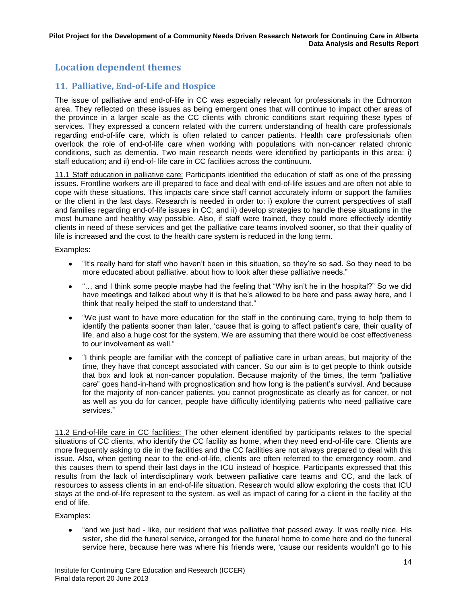# <span id="page-17-0"></span>**Location dependent themes**

## <span id="page-17-1"></span>**11. Palliative, End-of-Life and Hospice**

The issue of palliative and end-of-life in CC was especially relevant for professionals in the Edmonton area. They reflected on these issues as being emergent ones that will continue to impact other areas of the province in a larger scale as the CC clients with chronic conditions start requiring these types of services. They expressed a concern related with the current understanding of health care professionals regarding end-of-life care, which is often related to cancer patients. Health care professionals often overlook the role of end-of-life care when working with populations with non-cancer related chronic conditions, such as dementia. Two main research needs were identified by participants in this area: i) staff education; and ii) end-of- life care in CC facilities across the continuum.

11.1 Staff education in palliative care: Participants identified the education of staff as one of the pressing issues. Frontline workers are ill prepared to face and deal with end-of-life issues and are often not able to cope with these situations. This impacts care since staff cannot accurately inform or support the families or the client in the last days. Research is needed in order to: i) explore the current perspectives of staff and families regarding end-of-life issues in CC; and ii) develop strategies to handle these situations in the most humane and healthy way possible. Also, if staff were trained, they could more effectively identify clients in need of these services and get the palliative care teams involved sooner, so that their quality of life is increased and the cost to the health care system is reduced in the long term.

Examples:

- "It's really hard for staff who haven't been in this situation, so they're so sad. So they need to be more educated about palliative, about how to look after these palliative needs."
- "… and I think some people maybe had the feeling that "Why isn't he in the hospital?" So we did have meetings and talked about why it is that he's allowed to be here and pass away here, and I think that really helped the staff to understand that."
- $\bullet$ "We just want to have more education for the staff in the continuing care, trying to help them to identify the patients sooner than later, 'cause that is going to affect patient's care, their quality of life, and also a huge cost for the system. We are assuming that there would be cost effectiveness to our involvement as well."
- "I think people are familiar with the concept of palliative care in urban areas, but majority of the time, they have that concept associated with cancer. So our aim is to get people to think outside that box and look at non-cancer population. Because majority of the times, the term "palliative care" goes hand-in-hand with prognostication and how long is the patient's survival. And because for the majority of non-cancer patients, you cannot prognosticate as clearly as for cancer, or not as well as you do for cancer, people have difficulty identifying patients who need palliative care services."

11.2 End-of-life care in CC facilities: The other element identified by participants relates to the special situations of CC clients, who identify the CC facility as home, when they need end-of-life care. Clients are more frequently asking to die in the facilities and the CC facilities are not always prepared to deal with this issue. Also, when getting near to the end-of-life, clients are often referred to the emergency room, and this causes them to spend their last days in the ICU instead of hospice. Participants expressed that this results from the lack of interdisciplinary work between palliative care teams and CC, and the lack of resources to assess clients in an end-of-life situation. Research would allow exploring the costs that ICU stays at the end-of-life represent to the system, as well as impact of caring for a client in the facility at the end of life.

Examples:

"and we just had - like, our resident that was palliative that passed away. It was really nice. His sister, she did the funeral service, arranged for the funeral home to come here and do the funeral service here, because here was where his friends were, 'cause our residents wouldn't go to his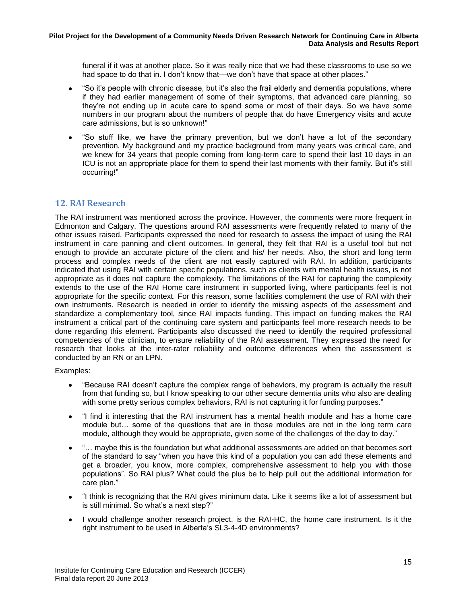funeral if it was at another place. So it was really nice that we had these classrooms to use so we had space to do that in. I don't know that—we don't have that space at other places."

- "So it's people with chronic disease, but it's also the frail elderly and dementia populations, where if they had earlier management of some of their symptoms, that advanced care planning, so they're not ending up in acute care to spend some or most of their days. So we have some numbers in our program about the numbers of people that do have Emergency visits and acute care admissions, but is so unknown!"
- "So stuff like, we have the primary prevention, but we don't have a lot of the secondary prevention. My background and my practice background from many years was critical care, and we knew for 34 years that people coming from long-term care to spend their last 10 days in an ICU is not an appropriate place for them to spend their last moments with their family. But it's still occurring!"

## <span id="page-18-0"></span>**12. RAI Research**

The RAI instrument was mentioned across the province. However, the comments were more frequent in Edmonton and Calgary. The questions around RAI assessments were frequently related to many of the other issues raised. Participants expressed the need for research to assess the impact of using the RAI instrument in care panning and client outcomes. In general, they felt that RAI is a useful tool but not enough to provide an accurate picture of the client and his/ her needs. Also, the short and long term process and complex needs of the client are not easily captured with RAI. In addition, participants indicated that using RAI with certain specific populations, such as clients with mental health issues, is not appropriate as it does not capture the complexity. The limitations of the RAI for capturing the complexity extends to the use of the RAI Home care instrument in supported living, where participants feel is not appropriate for the specific context. For this reason, some facilities complement the use of RAI with their own instruments. Research is needed in order to identify the missing aspects of the assessment and standardize a complementary tool, since RAI impacts funding. This impact on funding makes the RAI instrument a critical part of the continuing care system and participants feel more research needs to be done regarding this element. Participants also discussed the need to identify the required professional competencies of the clinician, to ensure reliability of the RAI assessment. They expressed the need for research that looks at the inter-rater reliability and outcome differences when the assessment is conducted by an RN or an LPN.

- "Because RAI doesn't capture the complex range of behaviors, my program is actually the result from that funding so, but I know speaking to our other secure dementia units who also are dealing with some pretty serious complex behaviors, RAI is not capturing it for funding purposes."
- "I find it interesting that the RAI instrument has a mental health module and has a home care module but… some of the questions that are in those modules are not in the long term care module, although they would be appropriate, given some of the challenges of the day to day."
- $\bullet$ "… maybe this is the foundation but what additional assessments are added on that becomes sort of the standard to say "when you have this kind of a population you can add these elements and get a broader, you know, more complex, comprehensive assessment to help you with those populations". So RAI plus? What could the plus be to help pull out the additional information for care plan."
- "I think is recognizing that the RAI gives minimum data. Like it seems like a lot of assessment but  $\bullet$ is still minimal. So what's a next step?"
- I would challenge another research project, is the RAI-HC, the home care instrument. Is it the right instrument to be used in Alberta's SL3-4-4D environments?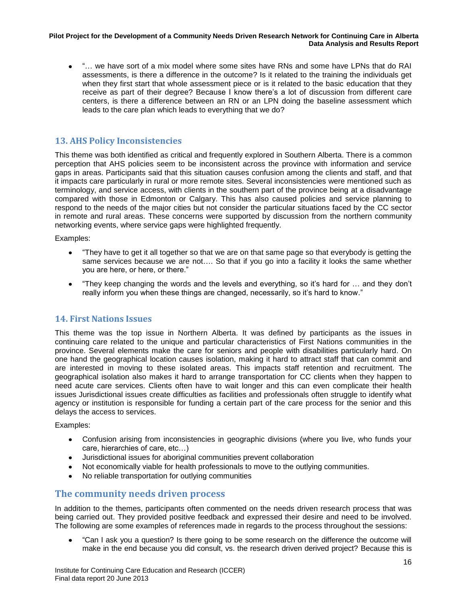"… we have sort of a mix model where some sites have RNs and some have LPNs that do RAI assessments, is there a difference in the outcome? Is it related to the training the individuals get when they first start that whole assessment piece or is it related to the basic education that they receive as part of their degree? Because I know there's a lot of discussion from different care centers, is there a difference between an RN or an LPN doing the baseline assessment which leads to the care plan which leads to everything that we do?

## <span id="page-19-0"></span>**13. AHS Policy Inconsistencies**

This theme was both identified as critical and frequently explored in Southern Alberta. There is a common perception that AHS policies seem to be inconsistent across the province with information and service gaps in areas. Participants said that this situation causes confusion among the clients and staff, and that it impacts care particularly in rural or more remote sites. Several inconsistencies were mentioned such as terminology, and service access, with clients in the southern part of the province being at a disadvantage compared with those in Edmonton or Calgary. This has also caused policies and service planning to respond to the needs of the major cities but not consider the particular situations faced by the CC sector in remote and rural areas. These concerns were supported by discussion from the northern community networking events, where service gaps were highlighted frequently.

Examples:

- "They have to get it all together so that we are on that same page so that everybody is getting the  $\bullet$ same services because we are not…. So that if you go into a facility it looks the same whether you are here, or here, or there."
- "They keep changing the words and the levels and everything, so it's hard for … and they don't really inform you when these things are changed, necessarily, so it's hard to know."

## <span id="page-19-1"></span>**14. First Nations Issues**

This theme was the top issue in Northern Alberta. It was defined by participants as the issues in continuing care related to the unique and particular characteristics of First Nations communities in the province. Several elements make the care for seniors and people with disabilities particularly hard. On one hand the geographical location causes isolation, making it hard to attract staff that can commit and are interested in moving to these isolated areas. This impacts staff retention and recruitment. The geographical isolation also makes it hard to arrange transportation for CC clients when they happen to need acute care services. Clients often have to wait longer and this can even complicate their health issues Jurisdictional issues create difficulties as facilities and professionals often struggle to identify what agency or institution is responsible for funding a certain part of the care process for the senior and this delays the access to services.

Examples:

- $\bullet$ Confusion arising from inconsistencies in geographic divisions (where you live, who funds your care, hierarchies of care, etc…)
- Jurisdictional issues for aboriginal communities prevent collaboration
- Not economically viable for health professionals to move to the outlying communities.
- No reliable transportation for outlying communities

## <span id="page-19-2"></span>**The community needs driven process**

In addition to the themes, participants often commented on the needs driven research process that was being carried out. They provided positive feedback and expressed their desire and need to be involved. The following are some examples of references made in regards to the process throughout the sessions:

"Can I ask you a question? Is there going to be some research on the difference the outcome will make in the end because you did consult, vs. the research driven derived project? Because this is